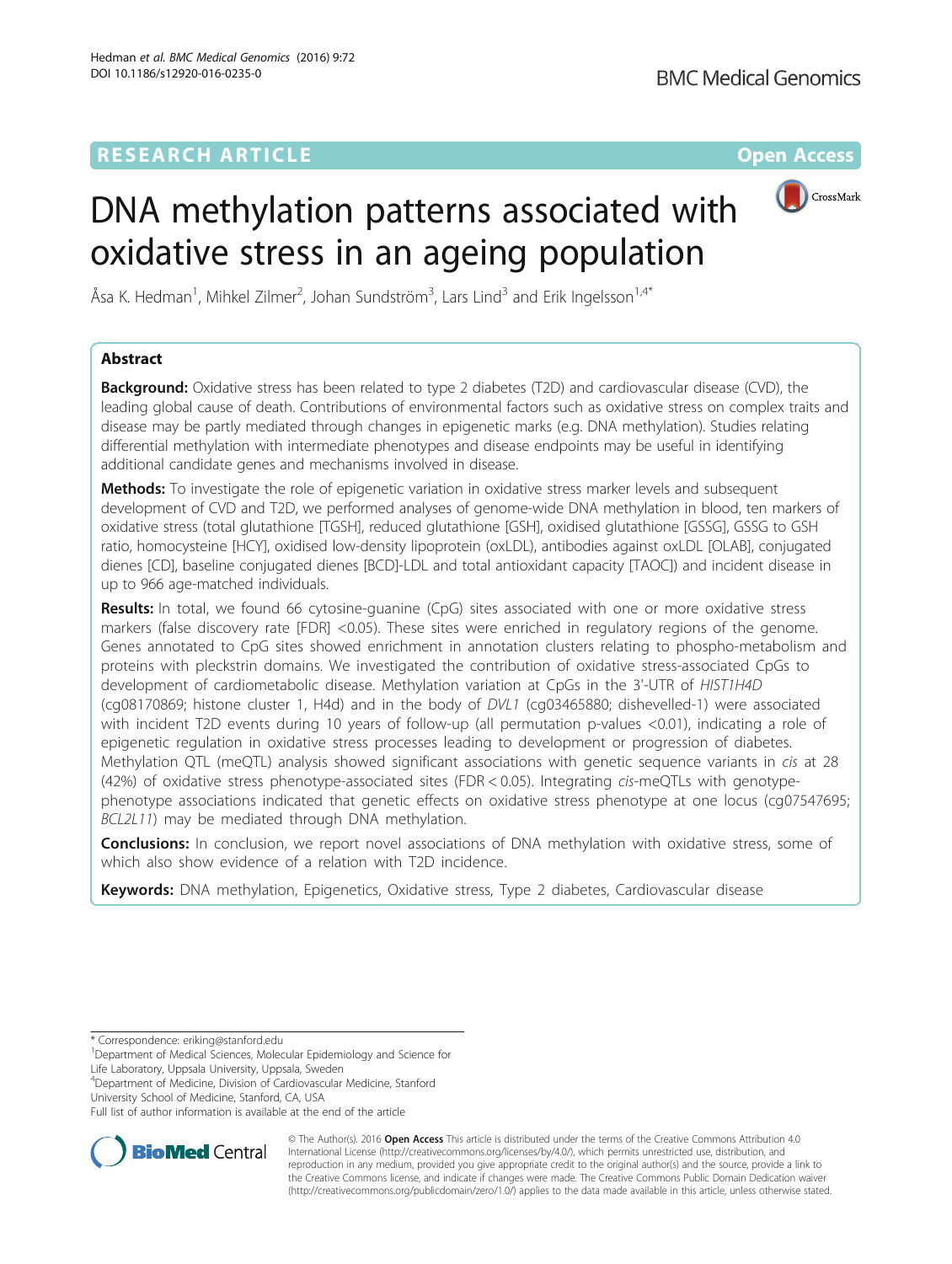### **RESEARCH ARTICLE Example 2014 12:30 The Contract of Contract ACCESS**



# DNA methylation patterns associated with oxidative stress in an ageing population

Åsa K. Hedman<sup>1</sup>, Mihkel Zilmer<sup>2</sup>, Johan Sundström<sup>3</sup>, Lars Lind<sup>3</sup> and Erik Ingelsson<sup>1,4\*</sup>

### Abstract

**Background:** Oxidative stress has been related to type 2 diabetes (T2D) and cardiovascular disease (CVD), the leading global cause of death. Contributions of environmental factors such as oxidative stress on complex traits and disease may be partly mediated through changes in epigenetic marks (e.g. DNA methylation). Studies relating differential methylation with intermediate phenotypes and disease endpoints may be useful in identifying additional candidate genes and mechanisms involved in disease.

Methods: To investigate the role of epigenetic variation in oxidative stress marker levels and subsequent development of CVD and T2D, we performed analyses of genome-wide DNA methylation in blood, ten markers of oxidative stress (total glutathione [TGSH], reduced glutathione [GSH], oxidised glutathione [GSSG], GSSG to GSH ratio, homocysteine [HCY], oxidised low-density lipoprotein (oxLDL), antibodies against oxLDL [OLAB], conjugated dienes [CD], baseline conjugated dienes [BCD]-LDL and total antioxidant capacity [TAOC]) and incident disease in up to 966 age-matched individuals.

Results: In total, we found 66 cytosine-quanine (CpG) sites associated with one or more oxidative stress markers (false discovery rate [FDR] <0.05). These sites were enriched in regulatory regions of the genome. Genes annotated to CpG sites showed enrichment in annotation clusters relating to phospho-metabolism and proteins with pleckstrin domains. We investigated the contribution of oxidative stress-associated CpGs to development of cardiometabolic disease. Methylation variation at CpGs in the 3'-UTR of HIST1H4D (cg08170869; histone cluster 1, H4d) and in the body of DVL1 (cg03465880; dishevelled-1) were associated with incident T2D events during 10 years of follow-up (all permutation p-values <0.01), indicating a role of epigenetic regulation in oxidative stress processes leading to development or progression of diabetes. Methylation QTL (meQTL) analysis showed significant associations with genetic sequence variants in cis at 28 (42%) of oxidative stress phenotype-associated sites (FDR < 0.05). Integrating cis-meQTLs with genotypephenotype associations indicated that genetic effects on oxidative stress phenotype at one locus (cg07547695; BCL2L11) may be mediated through DNA methylation.

Conclusions: In conclusion, we report novel associations of DNA methylation with oxidative stress, some of which also show evidence of a relation with T2D incidence.

Keywords: DNA methylation, Epigenetics, Oxidative stress, Type 2 diabetes, Cardiovascular disease

4 Department of Medicine, Division of Cardiovascular Medicine, Stanford University School of Medicine, Stanford, CA, USA

Full list of author information is available at the end of the article



© The Author(s). 2016 Open Access This article is distributed under the terms of the Creative Commons Attribution 4.0 International License [\(http://creativecommons.org/licenses/by/4.0/](http://creativecommons.org/licenses/by/4.0/)), which permits unrestricted use, distribution, and reproduction in any medium, provided you give appropriate credit to the original author(s) and the source, provide a link to the Creative Commons license, and indicate if changes were made. The Creative Commons Public Domain Dedication waiver [\(http://creativecommons.org/publicdomain/zero/1.0/](http://creativecommons.org/publicdomain/zero/1.0/)) applies to the data made available in this article, unless otherwise stated.

<sup>\*</sup> Correspondence: [eriking@stanford.edu](mailto:eriking@stanford.edu) <sup>1</sup>

<sup>&</sup>lt;sup>1</sup>Department of Medical Sciences, Molecular Epidemiology and Science for Life Laboratory, Uppsala University, Uppsala, Sweden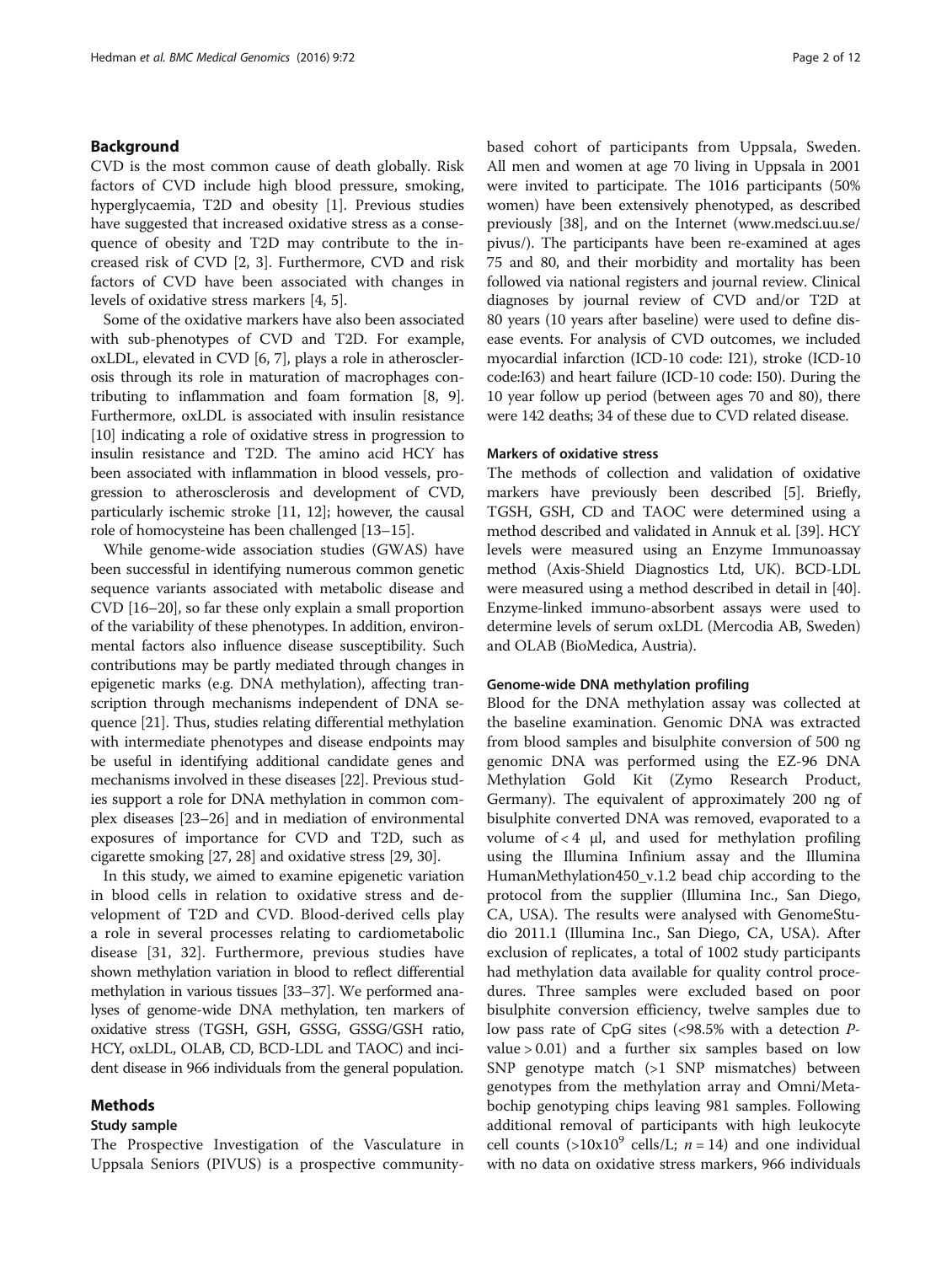### Background

CVD is the most common cause of death globally. Risk factors of CVD include high blood pressure, smoking, hyperglycaemia, T2D and obesity [\[1\]](#page-9-0). Previous studies have suggested that increased oxidative stress as a consequence of obesity and T2D may contribute to the increased risk of CVD [\[2](#page-9-0), [3](#page-9-0)]. Furthermore, CVD and risk factors of CVD have been associated with changes in levels of oxidative stress markers [\[4](#page-9-0), [5](#page-9-0)].

Some of the oxidative markers have also been associated with sub-phenotypes of CVD and T2D. For example, oxLDL, elevated in CVD [\[6, 7](#page-9-0)], plays a role in atherosclerosis through its role in maturation of macrophages contributing to inflammation and foam formation [[8](#page-9-0), [9](#page-9-0)]. Furthermore, oxLDL is associated with insulin resistance [[10](#page-9-0)] indicating a role of oxidative stress in progression to insulin resistance and T2D. The amino acid HCY has been associated with inflammation in blood vessels, progression to atherosclerosis and development of CVD, particularly ischemic stroke [\[11, 12](#page-9-0)]; however, the causal role of homocysteine has been challenged [\[13](#page-9-0)–[15](#page-9-0)].

While genome-wide association studies (GWAS) have been successful in identifying numerous common genetic sequence variants associated with metabolic disease and CVD [\[16](#page-9-0)–[20](#page-9-0)], so far these only explain a small proportion of the variability of these phenotypes. In addition, environmental factors also influence disease susceptibility. Such contributions may be partly mediated through changes in epigenetic marks (e.g. DNA methylation), affecting transcription through mechanisms independent of DNA sequence [\[21\]](#page-9-0). Thus, studies relating differential methylation with intermediate phenotypes and disease endpoints may be useful in identifying additional candidate genes and mechanisms involved in these diseases [[22](#page-9-0)]. Previous studies support a role for DNA methylation in common complex diseases [\[23](#page-9-0)–[26](#page-9-0)] and in mediation of environmental exposures of importance for CVD and T2D, such as cigarette smoking [\[27, 28](#page-9-0)] and oxidative stress [[29](#page-9-0), [30\]](#page-9-0).

In this study, we aimed to examine epigenetic variation in blood cells in relation to oxidative stress and development of T2D and CVD. Blood-derived cells play a role in several processes relating to cardiometabolic disease [[31](#page-9-0), [32](#page-9-0)]. Furthermore, previous studies have shown methylation variation in blood to reflect differential methylation in various tissues [[33](#page-9-0)–[37](#page-10-0)]. We performed analyses of genome-wide DNA methylation, ten markers of oxidative stress (TGSH, GSH, GSSG, GSSG/GSH ratio, HCY, oxLDL, OLAB, CD, BCD-LDL and TAOC) and incident disease in 966 individuals from the general population.

### Methods

### Study sample

The Prospective Investigation of the Vasculature in Uppsala Seniors (PIVUS) is a prospective communitybased cohort of participants from Uppsala, Sweden. All men and women at age 70 living in Uppsala in 2001 were invited to participate. The 1016 participants (50% women) have been extensively phenotyped, as described previously [[38](#page-10-0)], and on the Internet [\(www.medsci.uu.se/](http://www.medsci.uu.se/pivus/) [pivus/](http://www.medsci.uu.se/pivus/)). The participants have been re-examined at ages 75 and 80, and their morbidity and mortality has been followed via national registers and journal review. Clinical diagnoses by journal review of CVD and/or T2D at 80 years (10 years after baseline) were used to define disease events. For analysis of CVD outcomes, we included myocardial infarction (ICD-10 code: I21), stroke (ICD-10 code:I63) and heart failure (ICD-10 code: I50). During the 10 year follow up period (between ages 70 and 80), there were 142 deaths; 34 of these due to CVD related disease.

### Markers of oxidative stress

The methods of collection and validation of oxidative markers have previously been described [\[5](#page-9-0)]. Briefly, TGSH, GSH, CD and TAOC were determined using a method described and validated in Annuk et al. [[39](#page-10-0)]. HCY levels were measured using an Enzyme Immunoassay method (Axis-Shield Diagnostics Ltd, UK). BCD-LDL were measured using a method described in detail in [[40](#page-10-0)]. Enzyme-linked immuno-absorbent assays were used to determine levels of serum oxLDL (Mercodia AB, Sweden) and OLAB (BioMedica, Austria).

#### Genome-wide DNA methylation profiling

Blood for the DNA methylation assay was collected at the baseline examination. Genomic DNA was extracted from blood samples and bisulphite conversion of 500 ng genomic DNA was performed using the EZ-96 DNA Methylation Gold Kit (Zymo Research Product, Germany). The equivalent of approximately 200 ng of bisulphite converted DNA was removed, evaporated to a volume of  $<$  4  $\mu$ l, and used for methylation profiling using the Illumina Infinium assay and the Illumina HumanMethylation450\_v.1.2 bead chip according to the protocol from the supplier (Illumina Inc., San Diego, CA, USA). The results were analysed with GenomeStudio 2011.1 (Illumina Inc., San Diego, CA, USA). After exclusion of replicates, a total of 1002 study participants had methylation data available for quality control procedures. Three samples were excluded based on poor bisulphite conversion efficiency, twelve samples due to low pass rate of CpG sites (<98.5% with a detection Pvalue > 0.01) and a further six samples based on low SNP genotype match (>1 SNP mismatches) between genotypes from the methylation array and Omni/Metabochip genotyping chips leaving 981 samples. Following additional removal of participants with high leukocyte cell counts (>10x10<sup>9</sup> cells/L;  $n = 14$ ) and one individual with no data on oxidative stress markers, 966 individuals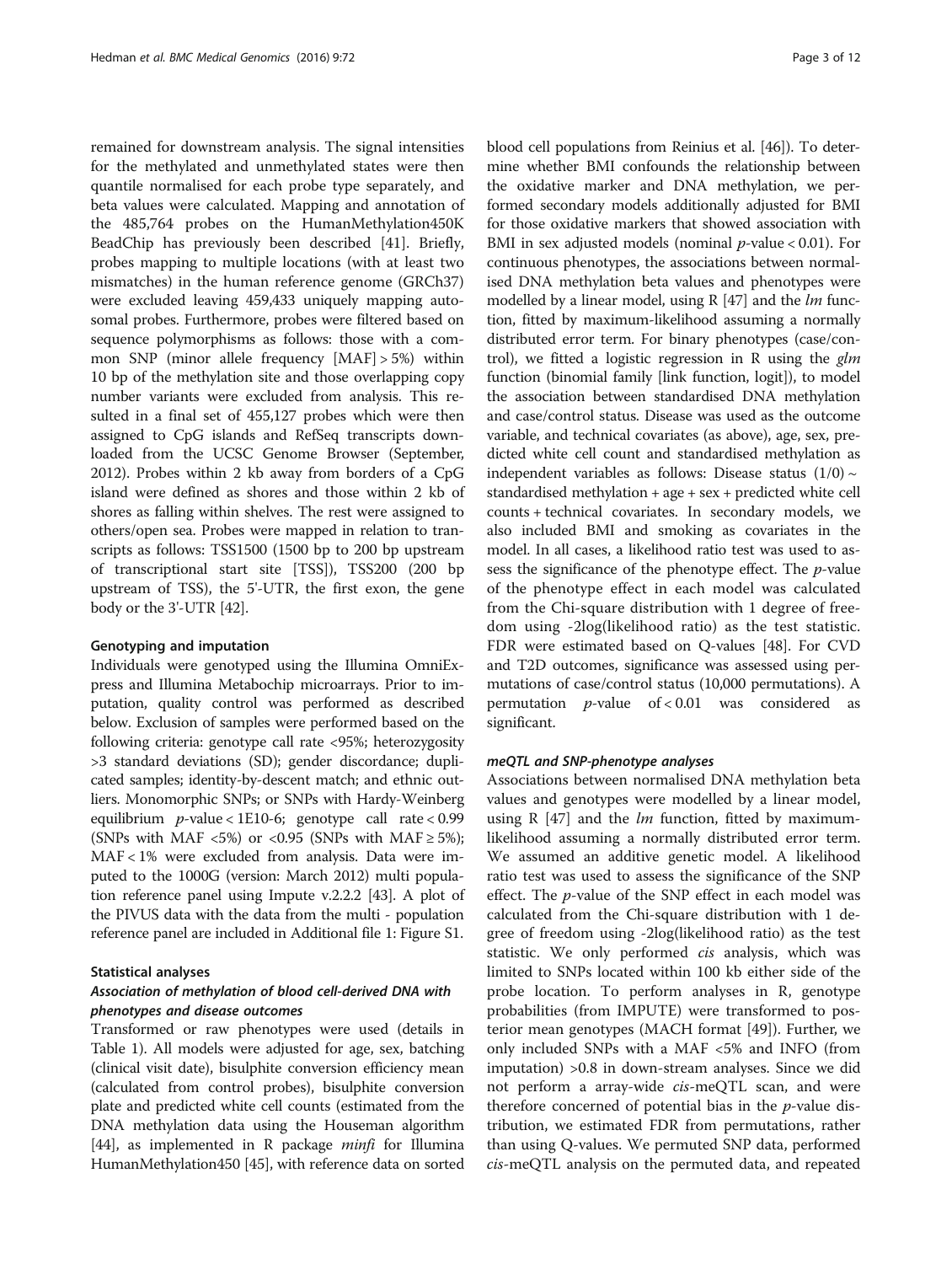remained for downstream analysis. The signal intensities for the methylated and unmethylated states were then quantile normalised for each probe type separately, and beta values were calculated. Mapping and annotation of the 485,764 probes on the HumanMethylation450K BeadChip has previously been described [\[41](#page-10-0)]. Briefly, probes mapping to multiple locations (with at least two mismatches) in the human reference genome (GRCh37) were excluded leaving 459,433 uniquely mapping autosomal probes. Furthermore, probes were filtered based on sequence polymorphisms as follows: those with a common SNP (minor allele frequency [MAF] > 5%) within 10 bp of the methylation site and those overlapping copy number variants were excluded from analysis. This resulted in a final set of 455,127 probes which were then assigned to CpG islands and RefSeq transcripts downloaded from the UCSC Genome Browser (September, 2012). Probes within 2 kb away from borders of a CpG island were defined as shores and those within 2 kb of shores as falling within shelves. The rest were assigned to others/open sea. Probes were mapped in relation to transcripts as follows: TSS1500 (1500 bp to 200 bp upstream of transcriptional start site [TSS]), TSS200 (200 bp upstream of TSS), the 5'-UTR, the first exon, the gene body or the 3'-UTR [[42](#page-10-0)].

### Genotyping and imputation

Individuals were genotyped using the Illumina OmniExpress and Illumina Metabochip microarrays. Prior to imputation, quality control was performed as described below. Exclusion of samples were performed based on the following criteria: genotype call rate <95%; heterozygosity >3 standard deviations (SD); gender discordance; duplicated samples; identity-by-descent match; and ethnic outliers. Monomorphic SNPs; or SNPs with Hardy-Weinberg equilibrium  $p$ -value < 1E10-6; genotype call rate < 0.99 (SNPs with MAF <5%) or <0.95 (SNPs with MAF  $\geq$  5%); MAF < 1% were excluded from analysis. Data were imputed to the 1000G (version: March 2012) multi population reference panel using Impute v.2.2.2 [\[43\]](#page-10-0). A plot of the PIVUS data with the data from the multi - population reference panel are included in Additional file [1:](#page-8-0) Figure S1.

#### Statistical analyses

### Association of methylation of blood cell-derived DNA with phenotypes and disease outcomes

Transformed or raw phenotypes were used (details in Table [1\)](#page-3-0). All models were adjusted for age, sex, batching (clinical visit date), bisulphite conversion efficiency mean (calculated from control probes), bisulphite conversion plate and predicted white cell counts (estimated from the DNA methylation data using the Houseman algorithm [[44](#page-10-0)], as implemented in R package *minfi* for Illumina HumanMethylation450 [[45\]](#page-10-0), with reference data on sorted

blood cell populations from Reinius et al. [[46\]](#page-10-0)). To determine whether BMI confounds the relationship between the oxidative marker and DNA methylation, we performed secondary models additionally adjusted for BMI for those oxidative markers that showed association with BMI in sex adjusted models (nominal  $p$ -value < 0.01). For continuous phenotypes, the associations between normalised DNA methylation beta values and phenotypes were modelled by a linear model, using  $R$  [\[47\]](#page-10-0) and the *lm* function, fitted by maximum-likelihood assuming a normally distributed error term. For binary phenotypes (case/control), we fitted a logistic regression in R using the  $glm$ function (binomial family [link function, logit]), to model the association between standardised DNA methylation and case/control status. Disease was used as the outcome variable, and technical covariates (as above), age, sex, predicted white cell count and standardised methylation as independent variables as follows: Disease status  $(1/0) \sim$ standardised methylation + age + sex + predicted white cell counts + technical covariates. In secondary models, we also included BMI and smoking as covariates in the model. In all cases, a likelihood ratio test was used to assess the significance of the phenotype effect. The p-value of the phenotype effect in each model was calculated from the Chi-square distribution with 1 degree of freedom using -2log(likelihood ratio) as the test statistic. FDR were estimated based on Q-values [\[48\]](#page-10-0). For CVD and T2D outcomes, significance was assessed using permutations of case/control status (10,000 permutations). A permutation  $p$ -value of < 0.01 was considered as significant.

### meQTL and SNP-phenotype analyses

Associations between normalised DNA methylation beta values and genotypes were modelled by a linear model, using R  $[47]$  $[47]$  and the *lm* function, fitted by maximumlikelihood assuming a normally distributed error term. We assumed an additive genetic model. A likelihood ratio test was used to assess the significance of the SNP effect. The p-value of the SNP effect in each model was calculated from the Chi-square distribution with 1 degree of freedom using -2log(likelihood ratio) as the test statistic. We only performed cis analysis, which was limited to SNPs located within 100 kb either side of the probe location. To perform analyses in R, genotype probabilities (from IMPUTE) were transformed to posterior mean genotypes (MACH format [\[49](#page-10-0)]). Further, we only included SNPs with a MAF <5% and INFO (from imputation) >0.8 in down-stream analyses. Since we did not perform a array-wide cis-meQTL scan, and were therefore concerned of potential bias in the  $p$ -value distribution, we estimated FDR from permutations, rather than using Q-values. We permuted SNP data, performed cis-meQTL analysis on the permuted data, and repeated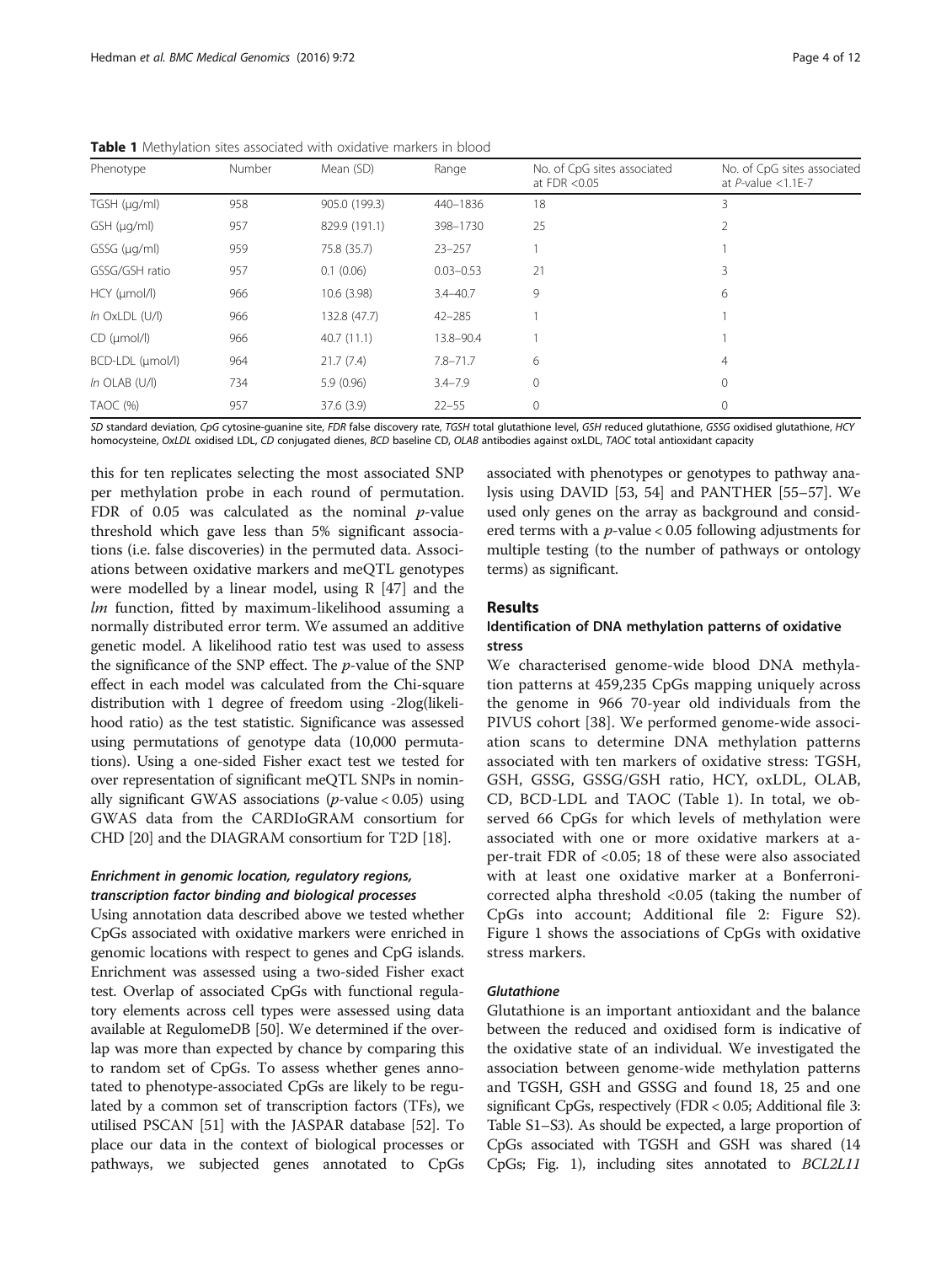| Phenotype             | Number<br>Mean (SD)<br>Range |               | No. of CpG sites associated<br>at $FDR < 0.05$ | No. of CpG sites associated<br>at $P$ -value < 1.1E-7 |                |
|-----------------------|------------------------------|---------------|------------------------------------------------|-------------------------------------------------------|----------------|
| $TGSH$ ( $\mu q/ml$ ) | 958                          | 905.0 (199.3) | 440-1836                                       | 18                                                    | 3              |
| $GSH$ ( $\mu$ g/ml)   | 957                          | 829.9 (191.1) | 398-1730                                       | 25                                                    | 2              |
| $GSSG$ ( $\mu$ g/ml)  | 959                          | 75.8 (35.7)   | $23 - 257$                                     |                                                       |                |
| GSSG/GSH ratio        | 957                          | 0.1(0.06)     | $0.03 - 0.53$                                  | 21                                                    | 3              |
| $HCY$ ( $\mu$ mol/l)  | 966                          | 10.6(3.98)    | $3.4 - 40.7$                                   | 9                                                     | 6              |
| $ln$ OxLDL $(U/I)$    | 966                          | 132.8 (47.7)  | $42 - 285$                                     |                                                       |                |
| $CD$ ( $\mu$ mol/l)   | 966                          | 40.7(11.1)    | 13.8-90.4                                      |                                                       |                |
| BCD-LDL (µmol/l)      | 964                          | 21.7(7.4)     | $7.8 - 71.7$                                   | 6                                                     | $\overline{4}$ |
| $ln$ OLAB (U/I)       | 734                          | 5.9(0.96)     | $3.4 - 7.9$                                    | $\mathbf{0}$                                          | $\mathbf 0$    |
| TAOC (%)              | 957                          | 37.6 (3.9)    | $22 - 55$                                      | $\mathbf{0}$                                          | $\mathbf 0$    |

<span id="page-3-0"></span>Table 1 Methylation sites associated with oxidative markers in blood

SD standard deviation, CpG cytosine-guanine site, FDR false discovery rate, TGSH total glutathione level, GSH reduced glutathione, GSSG oxidised glutathione, HCY homocysteine, OxLDL oxidised LDL, CD conjugated dienes, BCD baseline CD, OLAB antibodies against oxLDL, TAOC total antioxidant capacity

this for ten replicates selecting the most associated SNP per methylation probe in each round of permutation. FDR of 0.05 was calculated as the nominal  $p$ -value threshold which gave less than 5% significant associations (i.e. false discoveries) in the permuted data. Associations between oxidative markers and meQTL genotypes were modelled by a linear model, using R [[47](#page-10-0)] and the  $lm$  function, fitted by maximum-likelihood assuming a normally distributed error term. We assumed an additive genetic model. A likelihood ratio test was used to assess the significance of the SNP effect. The p-value of the SNP effect in each model was calculated from the Chi-square distribution with 1 degree of freedom using -2log(likelihood ratio) as the test statistic. Significance was assessed using permutations of genotype data (10,000 permutations). Using a one-sided Fisher exact test we tested for over representation of significant meQTL SNPs in nominally significant GWAS associations ( $p$ -value < 0.05) using GWAS data from the CARDIoGRAM consortium for CHD [[20](#page-9-0)] and the DIAGRAM consortium for T2D [\[18\]](#page-9-0).

### Enrichment in genomic location, regulatory regions, transcription factor binding and biological processes

Using annotation data described above we tested whether CpGs associated with oxidative markers were enriched in genomic locations with respect to genes and CpG islands. Enrichment was assessed using a two-sided Fisher exact test. Overlap of associated CpGs with functional regulatory elements across cell types were assessed using data available at RegulomeDB [[50](#page-10-0)]. We determined if the overlap was more than expected by chance by comparing this to random set of CpGs. To assess whether genes annotated to phenotype-associated CpGs are likely to be regulated by a common set of transcription factors (TFs), we utilised PSCAN [[51](#page-10-0)] with the JASPAR database [\[52\]](#page-10-0). To place our data in the context of biological processes or pathways, we subjected genes annotated to CpGs associated with phenotypes or genotypes to pathway analysis using DAVID [\[53](#page-10-0), [54\]](#page-10-0) and PANTHER [\[55](#page-10-0)–[57](#page-10-0)]. We used only genes on the array as background and considered terms with a  $p$ -value < 0.05 following adjustments for multiple testing (to the number of pathways or ontology terms) as significant.

### Results

### Identification of DNA methylation patterns of oxidative stress

We characterised genome-wide blood DNA methylation patterns at 459,235 CpGs mapping uniquely across the genome in 966 70-year old individuals from the PIVUS cohort [\[38](#page-10-0)]. We performed genome-wide association scans to determine DNA methylation patterns associated with ten markers of oxidative stress: TGSH, GSH, GSSG, GSSG/GSH ratio, HCY, oxLDL, OLAB, CD, BCD-LDL and TAOC (Table 1). In total, we observed 66 CpGs for which levels of methylation were associated with one or more oxidative markers at aper-trait FDR of <0.05; 18 of these were also associated with at least one oxidative marker at a Bonferronicorrected alpha threshold <0.05 (taking the number of CpGs into account; Additional file [2](#page-8-0): Figure S2). Figure [1](#page-4-0) shows the associations of CpGs with oxidative stress markers.

### **Glutathione**

Glutathione is an important antioxidant and the balance between the reduced and oxidised form is indicative of the oxidative state of an individual. We investigated the association between genome-wide methylation patterns and TGSH, GSH and GSSG and found 18, 25 and one significant CpGs, respectively (FDR < 0.05; Additional file [3](#page-8-0): Table S1–S3). As should be expected, a large proportion of CpGs associated with TGSH and GSH was shared (14 CpGs; Fig. [1](#page-4-0)), including sites annotated to BCL2L11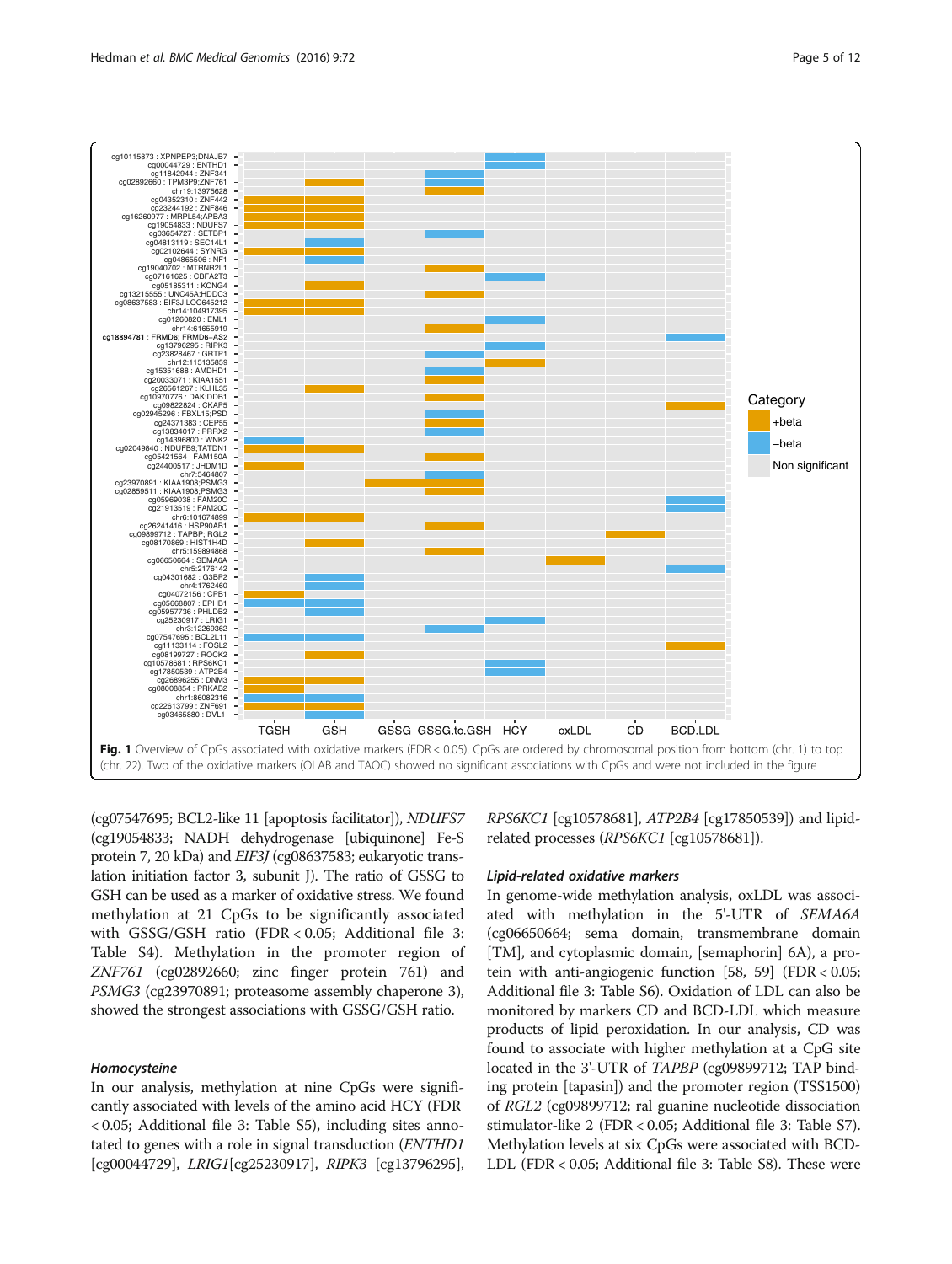<span id="page-4-0"></span>

(cg07547695; BCL2-like 11 [apoptosis facilitator]), NDUFS7 (cg19054833; NADH dehydrogenase [ubiquinone] Fe-S protein 7, 20 kDa) and EIF3J (cg08637583; eukaryotic translation initiation factor 3, subunit J). The ratio of GSSG to GSH can be used as a marker of oxidative stress. We found methylation at 21 CpGs to be significantly associated with GSSG/GSH ratio (FDR < 0.05; Additional file [3](#page-8-0): Table S4). Methylation in the promoter region of ZNF761 (cg02892660; zinc finger protein 761) and PSMG3 (cg23970891; proteasome assembly chaperone 3), showed the strongest associations with GSSG/GSH ratio.

### Homocysteine

In our analysis, methylation at nine CpGs were significantly associated with levels of the amino acid HCY (FDR < 0.05; Additional file [3:](#page-8-0) Table S5), including sites annotated to genes with a role in signal transduction (ENTHD1 [cg00044729], LRIG1[cg25230917], RIPK3 [cg13796295], RPS6KC1 [cg10578681], ATP2B4 [cg17850539]) and lipidrelated processes (RPS6KC1 [cg10578681]).

### Lipid-related oxidative markers

In genome-wide methylation analysis, oxLDL was associated with methylation in the 5'-UTR of SEMA6A (cg06650664; sema domain, transmembrane domain [TM], and cytoplasmic domain, [semaphorin] 6A), a protein with anti-angiogenic function [\[58, 59\]](#page-10-0) (FDR < 0.05; Additional file [3](#page-8-0): Table S6). Oxidation of LDL can also be monitored by markers CD and BCD-LDL which measure products of lipid peroxidation. In our analysis, CD was found to associate with higher methylation at a CpG site located in the 3'-UTR of TAPBP (cg09899712; TAP binding protein [tapasin]) and the promoter region (TSS1500) of RGL2 (cg09899712; ral guanine nucleotide dissociation stimulator-like 2 (FDR < 0.05; Additional file [3](#page-8-0): Table S7). Methylation levels at six CpGs were associated with BCD-LDL (FDR < 0.05; Additional file [3:](#page-8-0) Table S8). These were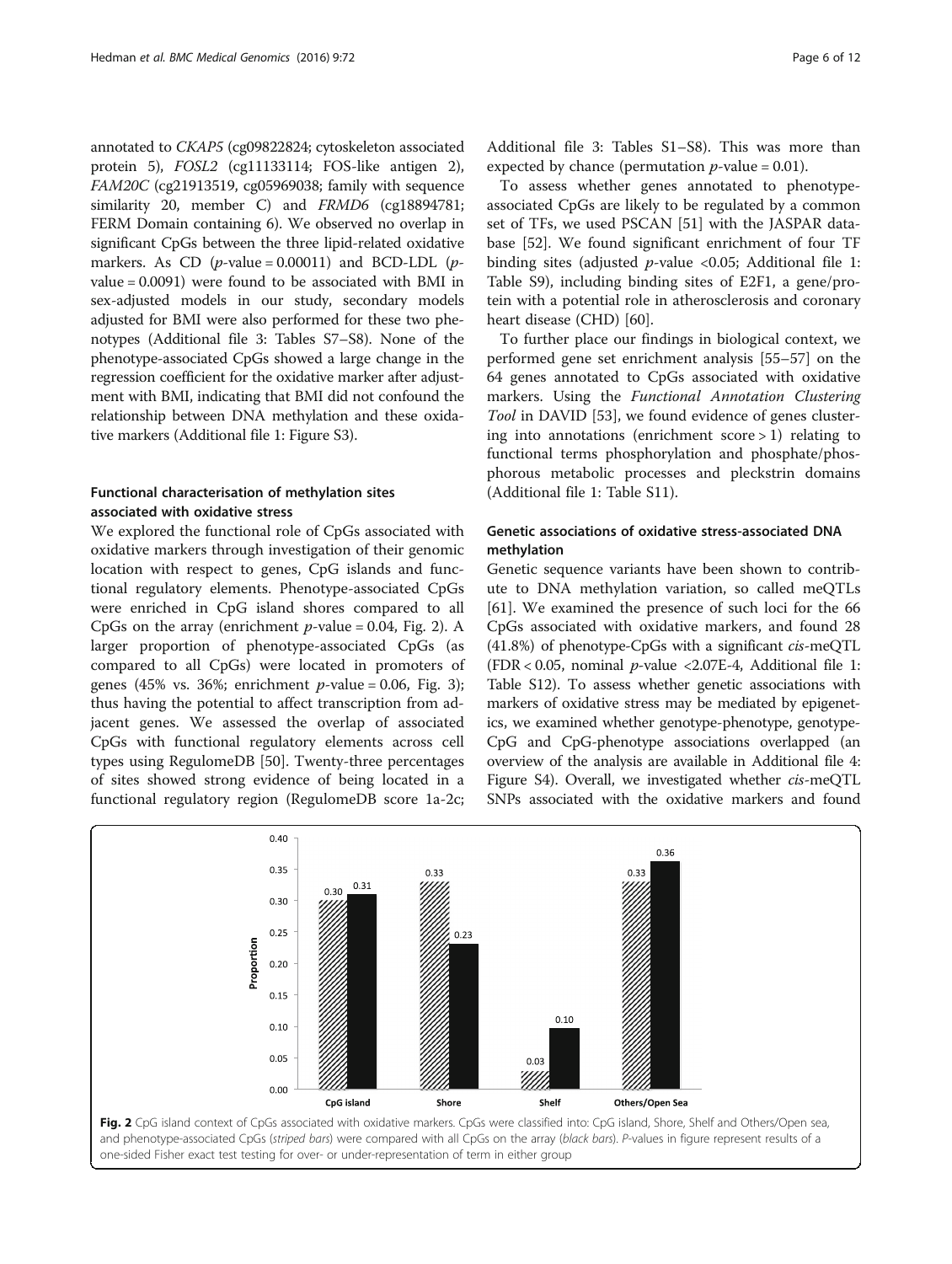annotated to CKAP5 (cg09822824; cytoskeleton associated protein 5), FOSL2 (cg11133114; FOS-like antigen 2), FAM20C (cg21913519, cg05969038; family with sequence similarity 20, member C) and FRMD6 (cg18894781; FERM Domain containing 6). We observed no overlap in significant CpGs between the three lipid-related oxidative markers. As CD  $(p$ -value = 0.00011) and BCD-LDL  $(p$ value = 0.0091) were found to be associated with BMI in sex-adjusted models in our study, secondary models adjusted for BMI were also performed for these two phenotypes (Additional file [3:](#page-8-0) Tables S7–S8). None of the phenotype-associated CpGs showed a large change in the regression coefficient for the oxidative marker after adjustment with BMI, indicating that BMI did not confound the relationship between DNA methylation and these oxidative markers (Additional file [1](#page-8-0): Figure S3).

### Functional characterisation of methylation sites associated with oxidative stress

We explored the functional role of CpGs associated with oxidative markers through investigation of their genomic location with respect to genes, CpG islands and functional regulatory elements. Phenotype-associated CpGs were enriched in CpG island shores compared to all CpGs on the array (enrichment  $p$ -value = 0.04, Fig. 2). A larger proportion of phenotype-associated CpGs (as compared to all CpGs) were located in promoters of genes (45% vs. [3](#page-6-0)6%; enrichment  $p$ -value = 0.06, Fig. 3); thus having the potential to affect transcription from adjacent genes. We assessed the overlap of associated CpGs with functional regulatory elements across cell types using RegulomeDB [[50\]](#page-10-0). Twenty-three percentages of sites showed strong evidence of being located in a functional regulatory region (RegulomeDB score 1a-2c;

Additional file [3:](#page-8-0) Tables S1–S8). This was more than expected by chance (permutation  $p$ -value = 0.01).

To assess whether genes annotated to phenotypeassociated CpGs are likely to be regulated by a common set of TFs, we used PSCAN [\[51](#page-10-0)] with the JASPAR database [[52\]](#page-10-0). We found significant enrichment of four TF binding sites (adjusted  $p$ -value <0.05; Additional file [1](#page-8-0): Table S9), including binding sites of E2F1, a gene/protein with a potential role in atherosclerosis and coronary heart disease (CHD) [\[60\]](#page-10-0).

To further place our findings in biological context, we performed gene set enrichment analysis [[55](#page-10-0)–[57](#page-10-0)] on the 64 genes annotated to CpGs associated with oxidative markers. Using the Functional Annotation Clustering Tool in DAVID [[53](#page-10-0)], we found evidence of genes clustering into annotations (enrichment score > 1) relating to functional terms phosphorylation and phosphate/phosphorous metabolic processes and pleckstrin domains (Additional file [1](#page-8-0): Table S11).

### Genetic associations of oxidative stress-associated DNA methylation

Genetic sequence variants have been shown to contribute to DNA methylation variation, so called meQTLs [[61\]](#page-10-0). We examined the presence of such loci for the 66 CpGs associated with oxidative markers, and found 28 (41.8%) of phenotype-CpGs with a significant cis-meQTL (FDR < 0.05, nominal  $p$ -value < 2.07E-4, Additional file [1](#page-8-0): Table S12). To assess whether genetic associations with markers of oxidative stress may be mediated by epigenetics, we examined whether genotype-phenotype, genotype-CpG and CpG-phenotype associations overlapped (an overview of the analysis are available in Additional file [4](#page-8-0): Figure S4). Overall, we investigated whether cis-meQTL SNPs associated with the oxidative markers and found

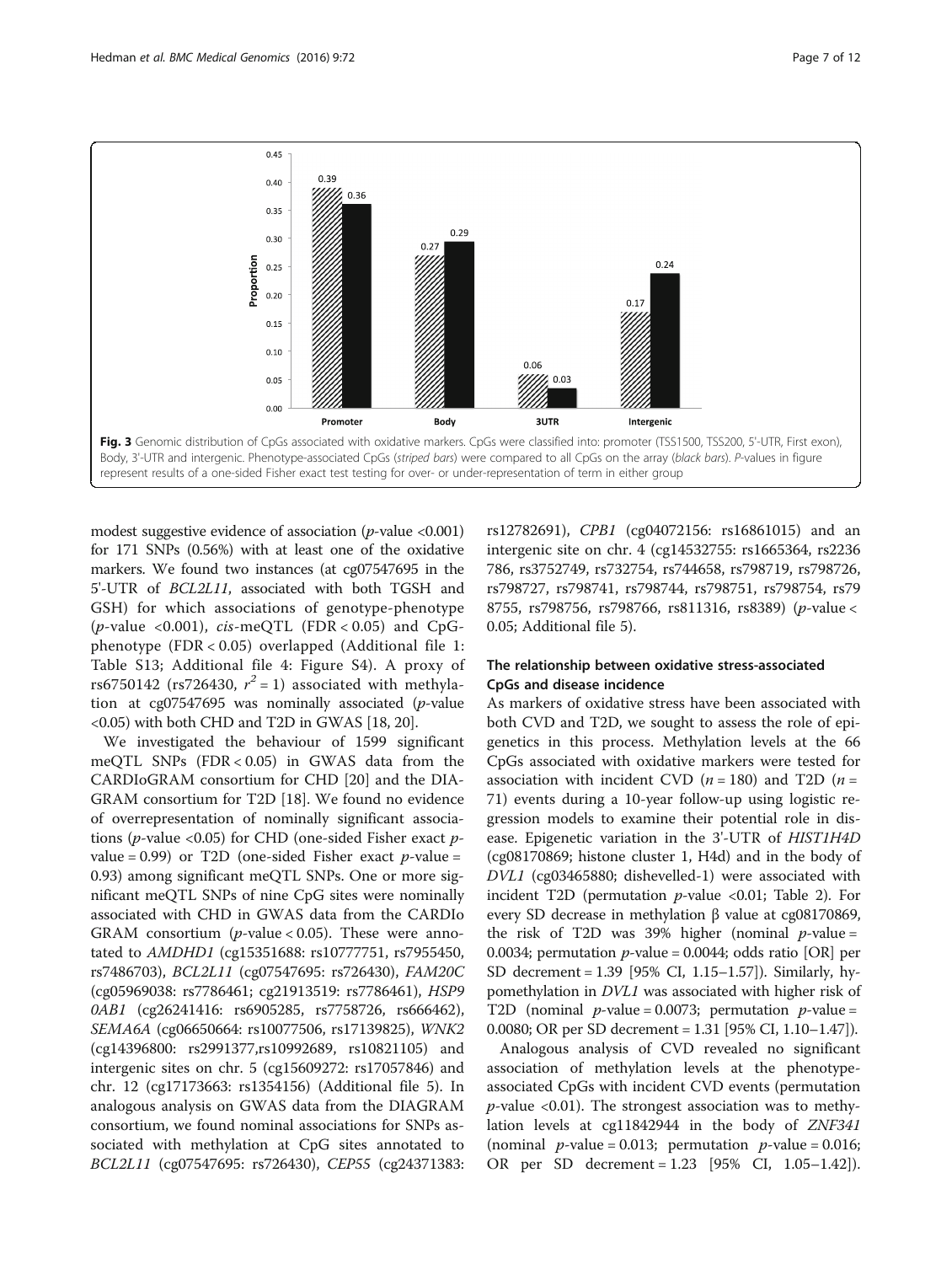<span id="page-6-0"></span>

modest suggestive evidence of association ( $p$ -value <0.001) for 171 SNPs (0.56%) with at least one of the oxidative markers. We found two instances (at cg07547695 in the 5'-UTR of BCL2L11, associated with both TGSH and GSH) for which associations of genotype-phenotype (*p*-value <0.001), *cis-meQTL* (FDR < 0.05) and CpGphenotype (FDR < 0.05) overlapped (Additional file [1](#page-8-0): Table S13; Additional file [4:](#page-8-0) Figure S4). A proxy of rs6750142 (rs726430,  $r^2 = 1$ ) associated with methyla-<br>tion at co07547695 was nominally associated (n-value tion at  $cg07547695$  was nominally associated (*p*-value <0.05) with both CHD and T2D in GWAS [[18](#page-9-0), [20\]](#page-9-0).

We investigated the behaviour of 1599 significant meQTL SNPs (FDR < 0.05) in GWAS data from the CARDIoGRAM consortium for CHD [\[20](#page-9-0)] and the DIA-GRAM consortium for T2D [[18\]](#page-9-0). We found no evidence of overrepresentation of nominally significant associations ( $p$ -value <0.05) for CHD (one-sided Fisher exact  $p$ value =  $0.99$ ) or T2D (one-sided Fisher exact p-value = 0.93) among significant meQTL SNPs. One or more significant meQTL SNPs of nine CpG sites were nominally associated with CHD in GWAS data from the CARDIo GRAM consortium ( $p$ -value < 0.05). These were annotated to AMDHD1 (cg15351688: rs10777751, rs7955450, rs7486703), BCL2L11 (cg07547695: rs726430), FAM20C (cg05969038: rs7786461; cg21913519: rs7786461), HSP9 0AB1 (cg26241416: rs6905285, rs7758726, rs666462), SEMA6A (cg06650664: rs10077506, rs17139825), WNK2 (cg14396800: rs2991377,rs10992689, rs10821105) and intergenic sites on chr. 5 (cg15609272: rs17057846) and chr. 12 (cg17173663: rs1354156) (Additional file [5\)](#page-8-0). In analogous analysis on GWAS data from the DIAGRAM consortium, we found nominal associations for SNPs associated with methylation at CpG sites annotated to BCL2L11 (cg07547695: rs726430), CEP55 (cg24371383:

rs12782691), CPB1 (cg04072156: rs16861015) and an intergenic site on chr. 4 (cg14532755: rs1665364, rs2236 786, rs3752749, rs732754, rs744658, rs798719, rs798726, rs798727, rs798741, rs798744, rs798751, rs798754, rs79 8755, rs798756, rs798766, rs811316, rs8389) (p-value < 0.05; Additional file [5](#page-8-0)).

### The relationship between oxidative stress-associated CpGs and disease incidence

As markers of oxidative stress have been associated with both CVD and T2D, we sought to assess the role of epigenetics in this process. Methylation levels at the 66 CpGs associated with oxidative markers were tested for association with incident CVD ( $n = 180$ ) and T2D ( $n =$ 71) events during a 10-year follow-up using logistic regression models to examine their potential role in disease. Epigenetic variation in the 3'-UTR of HIST1H4D (cg08170869; histone cluster 1, H4d) and in the body of DVL1 (cg03465880; dishevelled-1) were associated with incident T2D (permutation  $p$ -value <0.01; Table [2](#page-7-0)). For every SD decrease in methylation β value at cg08170869, the risk of T2D was 39% higher (nominal  $p$ -value = 0.0034; permutation *p*-value = 0.0044; odds ratio [OR] per SD decrement = 1.39 [95% CI, 1.15–1.57]). Similarly, hypomethylation in DVL1 was associated with higher risk of T2D (nominal  $p$ -value = 0.0073; permutation  $p$ -value = 0.0080; OR per SD decrement = 1.31 [95% CI, 1.10–1.47]).

Analogous analysis of CVD revealed no significant association of methylation levels at the phenotypeassociated CpGs with incident CVD events (permutation  $p$ -value <0.01). The strongest association was to methylation levels at cg11842944 in the body of ZNF341 (nominal *p*-value = 0.013; permutation *p*-value = 0.016; OR per SD decrement = 1.23 [95% CI, 1.05–1.42]).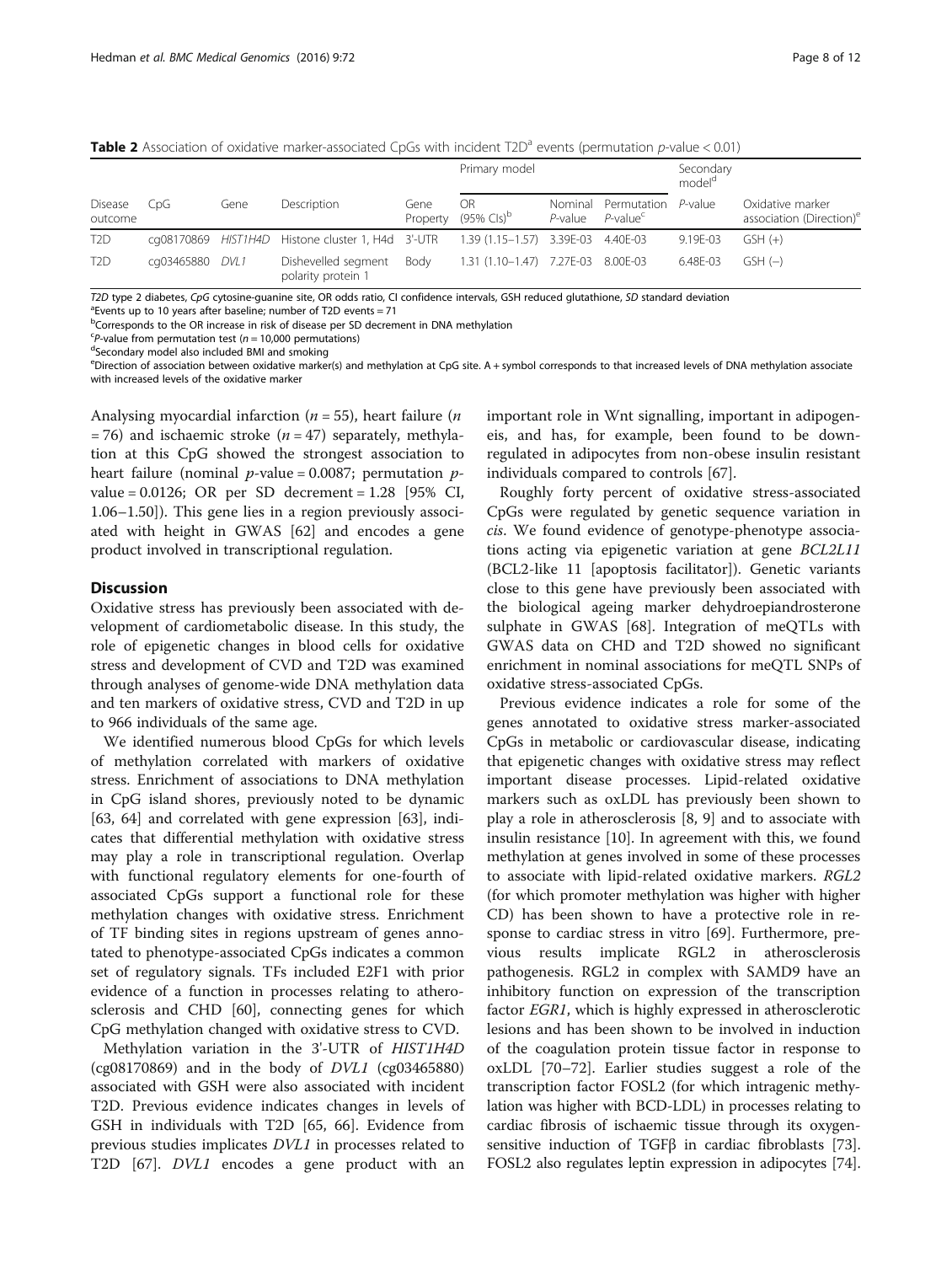<span id="page-7-0"></span>Table 2 Association of oxidative marker-associated CpGs with incident T2D<sup>a</sup> events (permutation p-value < 0.01)

|                           | CpG        | Gene | Description                                       | Gene<br>Property | Primary model                          |                       |                                     | Secondary<br>model <sup>a</sup> |                                                          |
|---------------------------|------------|------|---------------------------------------------------|------------------|----------------------------------------|-----------------------|-------------------------------------|---------------------------------|----------------------------------------------------------|
| <b>Disease</b><br>outcome |            |      |                                                   |                  | <b>OR</b><br>$(95\%$ Cls) <sup>b</sup> | Nominal<br>$P$ -value | Permutation<br>P-value <sup>c</sup> | P-value                         | Oxidative marker<br>association (Direction) <sup>e</sup> |
| T <sub>2</sub> D          |            |      | cq08170869 HIST1H4D Histone cluster 1, H4d 3'-UTR |                  | 1.39 (1.15–1.57) 3.39E-03              |                       | 4.40E-03                            | 9.19E-03                        | $GSH (+)$                                                |
| T <sub>2</sub> D          | cg03465880 | DVL1 | Dishevelled segment<br>polarity protein 1         | Body             | 1.31 (1.10-1.47) 7.27E-03 8.00E-03     |                       |                                     | 6.48E-03                        | $GSH(-)$                                                 |

T2D type 2 diabetes, CpG cytosine-guanine site, OR odds ratio, CI confidence intervals, GSH reduced glutathione, SD standard deviation

 $^{\circ}$ Events up to 10 years after baseline: number of T2D events = 71

<sup>b</sup>Corresponds to the OR increase in risk of disease per SD decrement in DNA methylation

 ${}^{c}P$ -value from permutation test ( $n = 10,000$  permutations) Secondary model also included BMI and smoking

eDirection of association between oxidative marker(s) and methylation at CpG site. A + symbol corresponds to that increased levels of DNA methylation associate with increased levels of the oxidative marker

Analysing myocardial infarction ( $n = 55$ ), heart failure ( $n$ = 76) and ischaemic stroke ( $n = 47$ ) separately, methylation at this CpG showed the strongest association to heart failure (nominal  $p$ -value = 0.0087; permutation  $p$ value = 0.0126; OR per SD decrement = 1.28 [95% CI, 1.06–1.50]). This gene lies in a region previously associated with height in GWAS [[62\]](#page-10-0) and encodes a gene product involved in transcriptional regulation.

### **Discussion**

Oxidative stress has previously been associated with development of cardiometabolic disease. In this study, the role of epigenetic changes in blood cells for oxidative stress and development of CVD and T2D was examined through analyses of genome-wide DNA methylation data and ten markers of oxidative stress, CVD and T2D in up to 966 individuals of the same age.

We identified numerous blood CpGs for which levels of methylation correlated with markers of oxidative stress. Enrichment of associations to DNA methylation in CpG island shores, previously noted to be dynamic [[63, 64\]](#page-10-0) and correlated with gene expression [\[63\]](#page-10-0), indicates that differential methylation with oxidative stress may play a role in transcriptional regulation. Overlap with functional regulatory elements for one-fourth of associated CpGs support a functional role for these methylation changes with oxidative stress. Enrichment of TF binding sites in regions upstream of genes annotated to phenotype-associated CpGs indicates a common set of regulatory signals. TFs included E2F1 with prior evidence of a function in processes relating to atherosclerosis and CHD [[60\]](#page-10-0), connecting genes for which CpG methylation changed with oxidative stress to CVD.

Methylation variation in the 3'-UTR of HIST1H4D (cg08170869) and in the body of DVL1 (cg03465880) associated with GSH were also associated with incident T2D. Previous evidence indicates changes in levels of GSH in individuals with T2D [\[65](#page-10-0), [66](#page-10-0)]. Evidence from previous studies implicates DVL1 in processes related to T2D [[67](#page-10-0)]. DVL1 encodes a gene product with an

important role in Wnt signalling, important in adipogeneis, and has, for example, been found to be downregulated in adipocytes from non-obese insulin resistant individuals compared to controls [[67\]](#page-10-0).

Roughly forty percent of oxidative stress-associated CpGs were regulated by genetic sequence variation in cis. We found evidence of genotype-phenotype associations acting via epigenetic variation at gene BCL2L11 (BCL2-like 11 [apoptosis facilitator]). Genetic variants close to this gene have previously been associated with the biological ageing marker dehydroepiandrosterone sulphate in GWAS [\[68\]](#page-10-0). Integration of meQTLs with GWAS data on CHD and T2D showed no significant enrichment in nominal associations for meQTL SNPs of oxidative stress-associated CpGs.

Previous evidence indicates a role for some of the genes annotated to oxidative stress marker-associated CpGs in metabolic or cardiovascular disease, indicating that epigenetic changes with oxidative stress may reflect important disease processes. Lipid-related oxidative markers such as oxLDL has previously been shown to play a role in atherosclerosis [\[8](#page-9-0), [9\]](#page-9-0) and to associate with insulin resistance [\[10\]](#page-9-0). In agreement with this, we found methylation at genes involved in some of these processes to associate with lipid-related oxidative markers. RGL2 (for which promoter methylation was higher with higher CD) has been shown to have a protective role in response to cardiac stress in vitro [[69\]](#page-10-0). Furthermore, previous results implicate RGL2 in atherosclerosis pathogenesis. RGL2 in complex with SAMD9 have an inhibitory function on expression of the transcription factor EGR1, which is highly expressed in atherosclerotic lesions and has been shown to be involved in induction of the coagulation protein tissue factor in response to oxLDL [[70](#page-10-0)–[72](#page-10-0)]. Earlier studies suggest a role of the transcription factor FOSL2 (for which intragenic methylation was higher with BCD-LDL) in processes relating to cardiac fibrosis of ischaemic tissue through its oxygensensitive induction of TGFβ in cardiac fibroblasts [[73](#page-10-0)]. FOSL2 also regulates leptin expression in adipocytes [[74](#page-10-0)].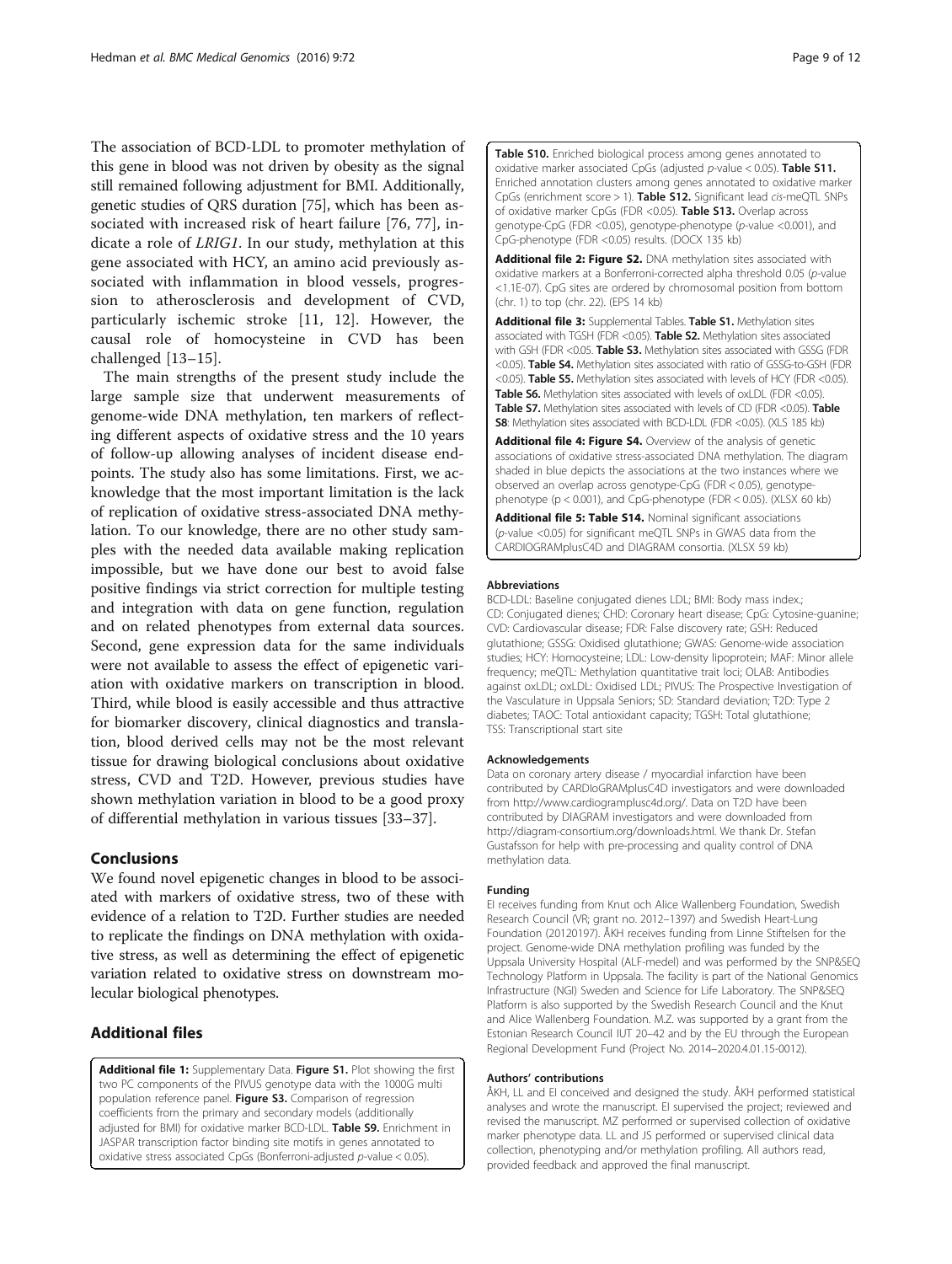<span id="page-8-0"></span>The association of BCD-LDL to promoter methylation of this gene in blood was not driven by obesity as the signal still remained following adjustment for BMI. Additionally, genetic studies of QRS duration [[75](#page-10-0)], which has been associated with increased risk of heart failure [[76, 77](#page-11-0)], indicate a role of LRIG1. In our study, methylation at this gene associated with HCY, an amino acid previously associated with inflammation in blood vessels, progression to atherosclerosis and development of CVD, particularly ischemic stroke [\[11](#page-9-0), [12](#page-9-0)]. However, the causal role of homocysteine in CVD has been challenged [\[13](#page-9-0)–[15](#page-9-0)].

The main strengths of the present study include the large sample size that underwent measurements of genome-wide DNA methylation, ten markers of reflecting different aspects of oxidative stress and the 10 years of follow-up allowing analyses of incident disease endpoints. The study also has some limitations. First, we acknowledge that the most important limitation is the lack of replication of oxidative stress-associated DNA methylation. To our knowledge, there are no other study samples with the needed data available making replication impossible, but we have done our best to avoid false positive findings via strict correction for multiple testing and integration with data on gene function, regulation and on related phenotypes from external data sources. Second, gene expression data for the same individuals were not available to assess the effect of epigenetic variation with oxidative markers on transcription in blood. Third, while blood is easily accessible and thus attractive for biomarker discovery, clinical diagnostics and translation, blood derived cells may not be the most relevant tissue for drawing biological conclusions about oxidative stress, CVD and T2D. However, previous studies have shown methylation variation in blood to be a good proxy of differential methylation in various tissues [\[33](#page-9-0)–[37\]](#page-10-0).

### Conclusions

We found novel epigenetic changes in blood to be associated with markers of oxidative stress, two of these with evidence of a relation to T2D. Further studies are needed to replicate the findings on DNA methylation with oxidative stress, as well as determining the effect of epigenetic variation related to oxidative stress on downstream molecular biological phenotypes.

### Additional files

[Additional file 1:](dx.doi.org/10.1186/s12920-016-0235-0) Supplementary Data. Figure S1. Plot showing the first two PC components of the PIVUS genotype data with the 1000G multi population reference panel. Figure S3. Comparison of regression coefficients from the primary and secondary models (additionally adjusted for BMI) for oxidative marker BCD-LDL. Table S9. Enrichment in JASPAR transcription factor binding site motifs in genes annotated to oxidative stress associated CpGs (Bonferroni-adjusted p-value < 0.05).

Table S10. Enriched biological process among genes annotated to oxidative marker associated CpGs (adjusted  $p$ -value < 0.05). Table S11. Enriched annotation clusters among genes annotated to oxidative marker CpGs (enrichment score > 1). Table S12. Significant lead cis-meQTL SNPs of oxidative marker CpGs (FDR <0.05). Table S13. Overlap across genotype-CpG (FDR <0.05), genotype-phenotype (p-value <0.001), and CpG-phenotype (FDR <0.05) results. (DOCX 135 kb)

[Additional file 2: Figure S2.](dx.doi.org/10.1186/s12920-016-0235-0) DNA methylation sites associated with oxidative markers at a Bonferroni-corrected alpha threshold 0.05 (p-value <1.1E-07). CpG sites are ordered by chromosomal position from bottom (chr. 1) to top (chr. 22). (EPS 14 kb)

[Additional file 3:](dx.doi.org/10.1186/s12920-016-0235-0) Supplemental Tables. Table S1. Methylation sites associated with TGSH (FDR <0.05). Table S2. Methylation sites associated with GSH (FDR <0.05. Table S3. Methylation sites associated with GSSG (FDR <0.05). Table S4. Methylation sites associated with ratio of GSSG-to-GSH (FDR <0.05). Table S5. Methylation sites associated with levels of HCY (FDR <0.05). Table S6. Methylation sites associated with levels of oxLDL (FDR <0.05). Table S7. Methylation sites associated with levels of CD (FDR <0.05). Table S8: Methylation sites associated with BCD-LDL (FDR <0.05). (XLS 185 kb)

[Additional file 4: Figure S4.](dx.doi.org/10.1186/s12920-016-0235-0) Overview of the analysis of genetic associations of oxidative stress-associated DNA methylation. The diagram shaded in blue depicts the associations at the two instances where we observed an overlap across genotype-CpG (FDR < 0.05), genotypephenotype (p < 0.001), and CpG-phenotype (FDR < 0.05). (XLSX 60 kb)

[Additional file 5: Table S14.](dx.doi.org/10.1186/s12920-016-0235-0) Nominal significant associations (p-value <0.05) for significant meQTL SNPs in GWAS data from the CARDIOGRAMplusC4D and DIAGRAM consortia. (XLSX 59 kb)

#### Abbreviations

BCD-LDL: Baseline conjugated dienes LDL; BMI: Body mass index.; CD: Conjugated dienes; CHD: Coronary heart disease; CpG: Cytosine-guanine; CVD: Cardiovascular disease; FDR: False discovery rate; GSH: Reduced glutathione; GSSG: Oxidised glutathione; GWAS: Genome-wide association studies; HCY: Homocysteine; LDL: Low-density lipoprotein; MAF: Minor allele frequency; meQTL: Methylation quantitative trait loci; OLAB: Antibodies against oxLDL; oxLDL: Oxidised LDL; PIVUS: The Prospective Investigation of the Vasculature in Uppsala Seniors; SD: Standard deviation; T2D: Type 2 diabetes; TAOC: Total antioxidant capacity; TGSH: Total glutathione; TSS: Transcriptional start site

#### Acknowledgements

Data on coronary artery disease / myocardial infarction have been contributed by CARDIoGRAMplusC4D investigators and were downloaded from<http://www.cardiogramplusc4d.org/>. Data on T2D have been contributed by DIAGRAM investigators and were downloaded from <http://diagram-consortium.org/downloads.html>. We thank Dr. Stefan Gustafsson for help with pre-processing and quality control of DNA methylation data.

#### Funding

EI receives funding from Knut och Alice Wallenberg Foundation, Swedish Research Council (VR; grant no. 2012–1397) and Swedish Heart-Lung Foundation (20120197). ÅKH receives funding from Linne Stiftelsen for the project. Genome-wide DNA methylation profiling was funded by the Uppsala University Hospital (ALF-medel) and was performed by the SNP&SEQ Technology Platform in Uppsala. The facility is part of the National Genomics Infrastructure (NGI) Sweden and Science for Life Laboratory. The SNP&SEQ Platform is also supported by the Swedish Research Council and the Knut and Alice Wallenberg Foundation. M.Z. was supported by a grant from the Estonian Research Council IUT 20–42 and by the EU through the European Regional Development Fund (Project No. 2014–2020.4.01.15-0012).

#### Authors' contributions

ÅKH, LL and EI conceived and designed the study. ÅKH performed statistical analyses and wrote the manuscript. EI supervised the project; reviewed and revised the manuscript. MZ performed or supervised collection of oxidative marker phenotype data. LL and JS performed or supervised clinical data collection, phenotyping and/or methylation profiling. All authors read, provided feedback and approved the final manuscript.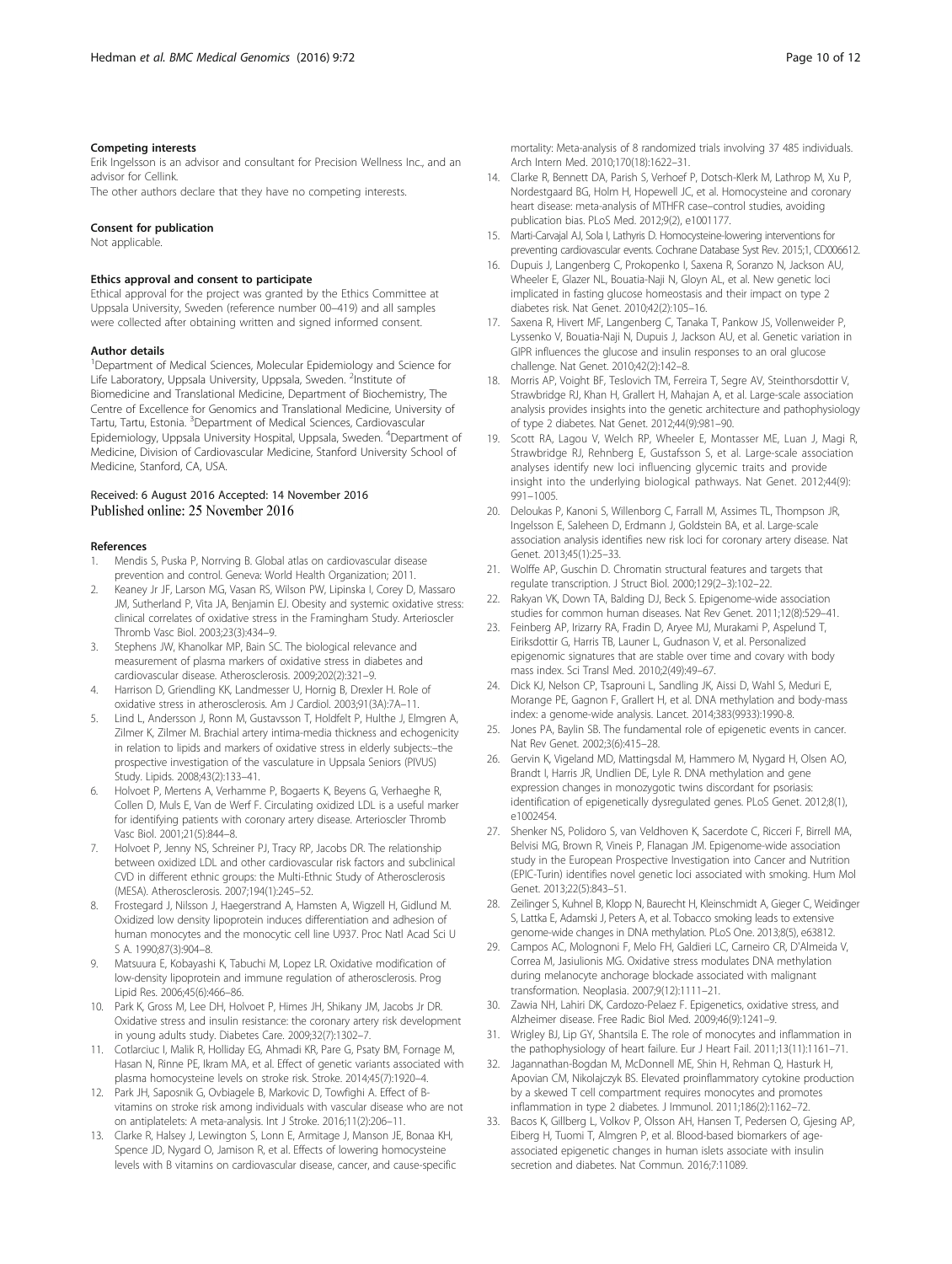#### <span id="page-9-0"></span>Competing interests

Erik Ingelsson is an advisor and consultant for Precision Wellness Inc., and an advisor for Cellink.

The other authors declare that they have no competing interests.

#### Consent for publication

Not applicable.

#### Ethics approval and consent to participate

Ethical approval for the project was granted by the Ethics Committee at Uppsala University, Sweden (reference number 00–419) and all samples were collected after obtaining written and signed informed consent.

#### Author details

<sup>1</sup>Department of Medical Sciences, Molecular Epidemiology and Science for Life Laboratory, Uppsala University, Uppsala, Sweden. <sup>2</sup>Institute of Biomedicine and Translational Medicine, Department of Biochemistry, The Centre of Excellence for Genomics and Translational Medicine, University of Tartu, Tartu, Estonia. <sup>3</sup>Department of Medical Sciences, Cardiovascular Epidemiology, Uppsala University Hospital, Uppsala, Sweden. <sup>4</sup>Department of Medicine, Division of Cardiovascular Medicine, Stanford University School of Medicine, Stanford, CA, USA.

## Received: 6 August 2016 Accepted: 14 November 2016

#### References

- 1. Mendis S, Puska P, Norrving B. Global atlas on cardiovascular disease prevention and control. Geneva: World Health Organization; 2011.
- 2. Keaney Jr JF, Larson MG, Vasan RS, Wilson PW, Lipinska I, Corey D, Massaro JM, Sutherland P, Vita JA, Benjamin EJ. Obesity and systemic oxidative stress: clinical correlates of oxidative stress in the Framingham Study. Arterioscler Thromb Vasc Biol. 2003;23(3):434–9.
- 3. Stephens JW, Khanolkar MP, Bain SC. The biological relevance and measurement of plasma markers of oxidative stress in diabetes and cardiovascular disease. Atherosclerosis. 2009;202(2):321–9.
- 4. Harrison D, Griendling KK, Landmesser U, Hornig B, Drexler H. Role of oxidative stress in atherosclerosis. Am J Cardiol. 2003;91(3A):7A–11.
- 5. Lind L, Andersson J, Ronn M, Gustavsson T, Holdfelt P, Hulthe J, Elmgren A, Zilmer K, Zilmer M. Brachial artery intima-media thickness and echogenicity in relation to lipids and markers of oxidative stress in elderly subjects:–the prospective investigation of the vasculature in Uppsala Seniors (PIVUS) Study. Lipids. 2008;43(2):133–41.
- Holvoet P, Mertens A, Verhamme P, Bogaerts K, Beyens G, Verhaeghe R, Collen D, Muls E, Van de Werf F. Circulating oxidized LDL is a useful marker for identifying patients with coronary artery disease. Arterioscler Thromb Vasc Biol. 2001;21(5):844–8.
- 7. Holvoet P, Jenny NS, Schreiner PJ, Tracy RP, Jacobs DR. The relationship between oxidized LDL and other cardiovascular risk factors and subclinical CVD in different ethnic groups: the Multi-Ethnic Study of Atherosclerosis (MESA). Atherosclerosis. 2007;194(1):245–52.
- 8. Frostegard J, Nilsson J, Haegerstrand A, Hamsten A, Wigzell H, Gidlund M. Oxidized low density lipoprotein induces differentiation and adhesion of human monocytes and the monocytic cell line U937. Proc Natl Acad Sci U S A. 1990;87(3):904–8.
- 9. Matsuura E, Kobayashi K, Tabuchi M, Lopez LR. Oxidative modification of low-density lipoprotein and immune regulation of atherosclerosis. Prog Lipid Res. 2006;45(6):466–86.
- 10. Park K, Gross M, Lee DH, Holvoet P, Himes JH, Shikany JM, Jacobs Jr DR. Oxidative stress and insulin resistance: the coronary artery risk development in young adults study. Diabetes Care. 2009;32(7):1302–7.
- 11. Cotlarciuc I, Malik R, Holliday EG, Ahmadi KR, Pare G, Psaty BM, Fornage M, Hasan N, Rinne PE, Ikram MA, et al. Effect of genetic variants associated with plasma homocysteine levels on stroke risk. Stroke. 2014;45(7):1920–4.
- 12. Park JH, Saposnik G, Ovbiagele B, Markovic D, Towfighi A. Effect of Bvitamins on stroke risk among individuals with vascular disease who are not on antiplatelets: A meta-analysis. Int J Stroke. 2016;11(2):206–11.
- 13. Clarke R, Halsey J, Lewington S, Lonn E, Armitage J, Manson JE, Bonaa KH, Spence JD, Nygard O, Jamison R, et al. Effects of lowering homocysteine levels with B vitamins on cardiovascular disease, cancer, and cause-specific

mortality: Meta-analysis of 8 randomized trials involving 37 485 individuals. Arch Intern Med. 2010;170(18):1622–31.

- 14. Clarke R, Bennett DA, Parish S, Verhoef P, Dotsch-Klerk M, Lathrop M, Xu P, Nordestgaard BG, Holm H, Hopewell JC, et al. Homocysteine and coronary heart disease: meta-analysis of MTHFR case–control studies, avoiding publication bias. PLoS Med. 2012;9(2), e1001177.
- 15. Marti-Carvajal AJ, Sola I, Lathyris D. Homocysteine-lowering interventions for preventing cardiovascular events. Cochrane Database Syst Rev. 2015;1, CD006612.
- 16. Dupuis J, Langenberg C, Prokopenko I, Saxena R, Soranzo N, Jackson AU, Wheeler E, Glazer NL, Bouatia-Naji N, Gloyn AL, et al. New genetic loci implicated in fasting glucose homeostasis and their impact on type 2 diabetes risk. Nat Genet. 2010;42(2):105–16.
- 17. Saxena R, Hivert MF, Langenberg C, Tanaka T, Pankow JS, Vollenweider P, Lyssenko V, Bouatia-Naji N, Dupuis J, Jackson AU, et al. Genetic variation in GIPR influences the glucose and insulin responses to an oral glucose challenge. Nat Genet. 2010;42(2):142–8.
- 18. Morris AP, Voight BF, Teslovich TM, Ferreira T, Segre AV, Steinthorsdottir V, Strawbridge RJ, Khan H, Grallert H, Mahajan A, et al. Large-scale association analysis provides insights into the genetic architecture and pathophysiology of type 2 diabetes. Nat Genet. 2012;44(9):981–90.
- 19. Scott RA, Lagou V, Welch RP, Wheeler E, Montasser ME, Luan J, Magi R, Strawbridge RJ, Rehnberg E, Gustafsson S, et al. Large-scale association analyses identify new loci influencing glycemic traits and provide insight into the underlying biological pathways. Nat Genet. 2012;44(9): 991–1005.
- 20. Deloukas P, Kanoni S, Willenborg C, Farrall M, Assimes TL, Thompson JR, Ingelsson E, Saleheen D, Erdmann J, Goldstein BA, et al. Large-scale association analysis identifies new risk loci for coronary artery disease. Nat Genet. 2013;45(1):25–33.
- 21. Wolffe AP, Guschin D. Chromatin structural features and targets that regulate transcription. J Struct Biol. 2000;129(2–3):102–22.
- 22. Rakyan VK, Down TA, Balding DJ, Beck S. Epigenome-wide association studies for common human diseases. Nat Rev Genet. 2011;12(8):529–41.
- 23. Feinberg AP, Irizarry RA, Fradin D, Aryee MJ, Murakami P, Aspelund T, Eiriksdottir G, Harris TB, Launer L, Gudnason V, et al. Personalized epigenomic signatures that are stable over time and covary with body mass index. Sci Transl Med. 2010;2(49):49–67.
- 24. Dick KJ, Nelson CP, Tsaprouni L, Sandling JK, Aissi D, Wahl S, Meduri E, Morange PE, Gagnon F, Grallert H, et al. DNA methylation and body-mass index: a genome-wide analysis. Lancet. 2014;383(9933):1990-8.
- 25. Jones PA, Baylin SB. The fundamental role of epigenetic events in cancer. Nat Rev Genet. 2002;3(6):415–28.
- 26. Gervin K, Vigeland MD, Mattingsdal M, Hammero M, Nygard H, Olsen AO, Brandt I, Harris JR, Undlien DE, Lyle R. DNA methylation and gene expression changes in monozygotic twins discordant for psoriasis: identification of epigenetically dysregulated genes. PLoS Genet. 2012;8(1), e1002454.
- 27. Shenker NS, Polidoro S, van Veldhoven K, Sacerdote C, Ricceri F, Birrell MA, Belvisi MG, Brown R, Vineis P, Flanagan JM. Epigenome-wide association study in the European Prospective Investigation into Cancer and Nutrition (EPIC-Turin) identifies novel genetic loci associated with smoking. Hum Mol Genet. 2013;22(5):843–51.
- 28. Zeilinger S, Kuhnel B, Klopp N, Baurecht H, Kleinschmidt A, Gieger C, Weidinger S, Lattka E, Adamski J, Peters A, et al. Tobacco smoking leads to extensive genome-wide changes in DNA methylation. PLoS One. 2013;8(5), e63812.
- 29. Campos AC, Molognoni F, Melo FH, Galdieri LC, Carneiro CR, D'Almeida V, Correa M, Jasiulionis MG. Oxidative stress modulates DNA methylation during melanocyte anchorage blockade associated with malignant transformation. Neoplasia. 2007;9(12):1111–21.
- 30. Zawia NH, Lahiri DK, Cardozo-Pelaez F. Epigenetics, oxidative stress, and Alzheimer disease. Free Radic Biol Med. 2009;46(9):1241–9.
- 31. Wrigley BJ, Lip GY, Shantsila E. The role of monocytes and inflammation in the pathophysiology of heart failure. Eur J Heart Fail. 2011;13(11):1161–71.
- 32. Jagannathan-Bogdan M, McDonnell ME, Shin H, Rehman Q, Hasturk H, Apovian CM, Nikolajczyk BS. Elevated proinflammatory cytokine production by a skewed T cell compartment requires monocytes and promotes inflammation in type 2 diabetes. J Immunol. 2011;186(2):1162–72.
- 33. Bacos K, Gillberg L, Volkov P, Olsson AH, Hansen T, Pedersen O, Gjesing AP, Eiberg H, Tuomi T, Almgren P, et al. Blood-based biomarkers of ageassociated epigenetic changes in human islets associate with insulin secretion and diabetes. Nat Commun. 2016;7:11089.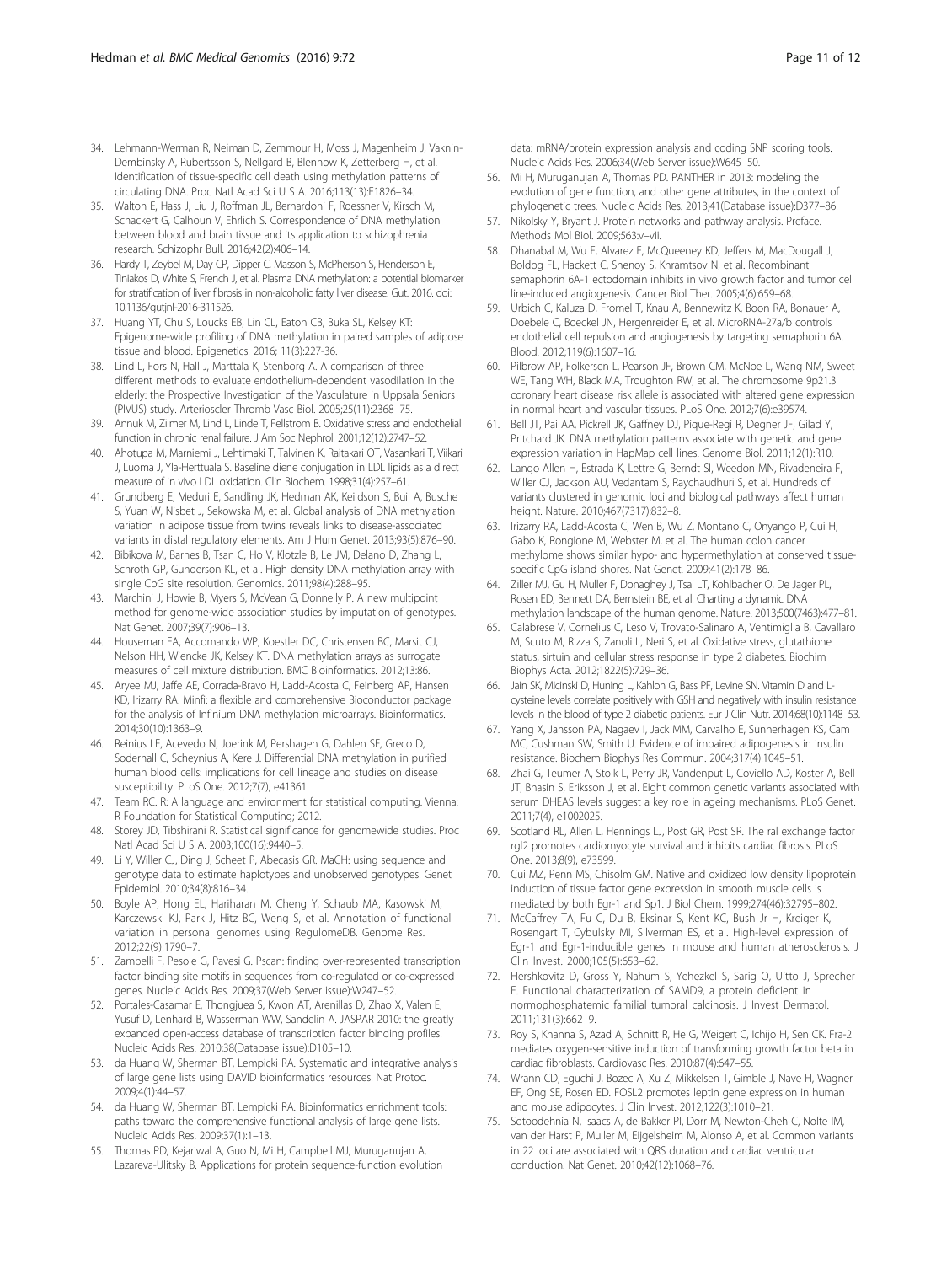- <span id="page-10-0"></span>34. Lehmann-Werman R, Neiman D, Zemmour H, Moss J, Magenheim J, Vaknin-Dembinsky A, Rubertsson S, Nellgard B, Blennow K, Zetterberg H, et al. Identification of tissue-specific cell death using methylation patterns of circulating DNA. Proc Natl Acad Sci U S A. 2016;113(13):E1826–34.
- 35. Walton E, Hass J, Liu J, Roffman JL, Bernardoni F, Roessner V, Kirsch M, Schackert G, Calhoun V, Ehrlich S. Correspondence of DNA methylation between blood and brain tissue and its application to schizophrenia research. Schizophr Bull. 2016;42(2):406–14.
- 36. Hardy T, Zeybel M, Day CP, Dipper C, Masson S, McPherson S, Henderson E, Tiniakos D, White S, French J, et al. Plasma DNA methylation: a potential biomarker for stratification of liver fibrosis in non-alcoholic fatty liver disease. Gut. 2016. doi: [10.1136/gutjnl-2016-311526.](http://dx.doi.org/10.1136/gutjnl-2016-311526)
- 37. Huang YT, Chu S, Loucks EB, Lin CL, Eaton CB, Buka SL, Kelsey KT: Epigenome-wide profiling of DNA methylation in paired samples of adipose tissue and blood. Epigenetics. 2016; 11(3):227-36.
- 38. Lind L, Fors N, Hall J, Marttala K, Stenborg A. A comparison of three different methods to evaluate endothelium-dependent vasodilation in the elderly: the Prospective Investigation of the Vasculature in Uppsala Seniors (PIVUS) study. Arterioscler Thromb Vasc Biol. 2005;25(11):2368–75.
- 39. Annuk M, Zilmer M, Lind L, Linde T, Fellstrom B. Oxidative stress and endothelial function in chronic renal failure. J Am Soc Nephrol. 2001;12(12):2747–52.
- 40. Ahotupa M, Marniemi J, Lehtimaki T, Talvinen K, Raitakari OT, Vasankari T, Viikari J, Luoma J, Yla-Herttuala S. Baseline diene conjugation in LDL lipids as a direct measure of in vivo LDL oxidation. Clin Biochem. 1998;31(4):257–61.
- 41. Grundberg E, Meduri E, Sandling JK, Hedman AK, Keildson S, Buil A, Busche S, Yuan W, Nisbet J, Sekowska M, et al. Global analysis of DNA methylation variation in adipose tissue from twins reveals links to disease-associated variants in distal regulatory elements. Am J Hum Genet. 2013;93(5):876–90.
- 42. Bibikova M, Barnes B, Tsan C, Ho V, Klotzle B, Le JM, Delano D, Zhang L, Schroth GP, Gunderson KL, et al. High density DNA methylation array with single CpG site resolution. Genomics. 2011;98(4):288–95.
- 43. Marchini J, Howie B, Myers S, McVean G, Donnelly P. A new multipoint method for genome-wide association studies by imputation of genotypes. Nat Genet. 2007;39(7):906–13.
- 44. Houseman EA, Accomando WP, Koestler DC, Christensen BC, Marsit CJ, Nelson HH, Wiencke JK, Kelsey KT. DNA methylation arrays as surrogate measures of cell mixture distribution. BMC Bioinformatics. 2012;13:86.
- 45. Aryee MJ, Jaffe AE, Corrada-Bravo H, Ladd-Acosta C, Feinberg AP, Hansen KD, Irizarry RA. Minfi: a flexible and comprehensive Bioconductor package for the analysis of Infinium DNA methylation microarrays. Bioinformatics. 2014;30(10):1363–9.
- 46. Reinius LE, Acevedo N, Joerink M, Pershagen G, Dahlen SE, Greco D, Soderhall C, Scheynius A, Kere J. Differential DNA methylation in purified human blood cells: implications for cell lineage and studies on disease susceptibility. PLoS One. 2012;7(7), e41361.
- 47. Team RC. R: A language and environment for statistical computing. Vienna: R Foundation for Statistical Computing; 2012.
- 48. Storey JD, Tibshirani R. Statistical significance for genomewide studies. Proc Natl Acad Sci U S A. 2003;100(16):9440–5.
- 49. Li Y, Willer CJ, Ding J, Scheet P, Abecasis GR. MaCH: using sequence and genotype data to estimate haplotypes and unobserved genotypes. Genet Epidemiol. 2010;34(8):816–34.
- 50. Boyle AP, Hong EL, Hariharan M, Cheng Y, Schaub MA, Kasowski M, Karczewski KJ, Park J, Hitz BC, Weng S, et al. Annotation of functional variation in personal genomes using RegulomeDB. Genome Res. 2012;22(9):1790–7.
- 51. Zambelli F, Pesole G, Pavesi G. Pscan: finding over-represented transcription factor binding site motifs in sequences from co-regulated or co-expressed genes. Nucleic Acids Res. 2009;37(Web Server issue):W247–52.
- 52. Portales-Casamar E, Thongjuea S, Kwon AT, Arenillas D, Zhao X, Valen E, Yusuf D, Lenhard B, Wasserman WW, Sandelin A. JASPAR 2010: the greatly expanded open-access database of transcription factor binding profiles. Nucleic Acids Res. 2010;38(Database issue):D105–10.
- 53. da Huang W, Sherman BT, Lempicki RA. Systematic and integrative analysis of large gene lists using DAVID bioinformatics resources. Nat Protoc. 2009;4(1):44–57.
- 54. da Huang W, Sherman BT, Lempicki RA. Bioinformatics enrichment tools: paths toward the comprehensive functional analysis of large gene lists. Nucleic Acids Res. 2009;37(1):1–13.
- 55. Thomas PD, Kejariwal A, Guo N, Mi H, Campbell MJ, Muruganujan A, Lazareva-Ulitsky B. Applications for protein sequence-function evolution

data: mRNA/protein expression analysis and coding SNP scoring tools. Nucleic Acids Res. 2006;34(Web Server issue):W645–50.

- 56. Mi H, Muruganujan A, Thomas PD. PANTHER in 2013: modeling the evolution of gene function, and other gene attributes, in the context of phylogenetic trees. Nucleic Acids Res. 2013;41(Database issue):D377–86.
- 57. Nikolsky Y, Bryant J. Protein networks and pathway analysis. Preface. Methods Mol Biol. 2009;563:v–vii.
- 58. Dhanabal M, Wu F, Alvarez E, McQueeney KD, Jeffers M, MacDougall J, Boldog FL, Hackett C, Shenoy S, Khramtsov N, et al. Recombinant semaphorin 6A-1 ectodomain inhibits in vivo growth factor and tumor cell line-induced angiogenesis. Cancer Biol Ther. 2005;4(6):659–68.
- 59. Urbich C, Kaluza D, Fromel T, Knau A, Bennewitz K, Boon RA, Bonauer A, Doebele C, Boeckel JN, Hergenreider E, et al. MicroRNA-27a/b controls endothelial cell repulsion and angiogenesis by targeting semaphorin 6A. Blood. 2012;119(6):1607–16.
- 60. Pilbrow AP, Folkersen L, Pearson JF, Brown CM, McNoe L, Wang NM, Sweet WE, Tang WH, Black MA, Troughton RW, et al. The chromosome 9p21.3 coronary heart disease risk allele is associated with altered gene expression in normal heart and vascular tissues. PLoS One. 2012;7(6):e39574.
- 61. Bell JT, Pai AA, Pickrell JK, Gaffney DJ, Pique-Regi R, Degner JF, Gilad Y, Pritchard JK. DNA methylation patterns associate with genetic and gene expression variation in HapMap cell lines. Genome Biol. 2011;12(1):R10.
- 62. Lango Allen H, Estrada K, Lettre G, Berndt SI, Weedon MN, Rivadeneira F, Willer CJ, Jackson AU, Vedantam S, Raychaudhuri S, et al. Hundreds of variants clustered in genomic loci and biological pathways affect human height. Nature. 2010;467(7317):832–8.
- 63. Irizarry RA, Ladd-Acosta C, Wen B, Wu Z, Montano C, Onyango P, Cui H, Gabo K, Rongione M, Webster M, et al. The human colon cancer methylome shows similar hypo- and hypermethylation at conserved tissuespecific CpG island shores. Nat Genet. 2009;41(2):178–86.
- 64. Ziller MJ, Gu H, Muller F, Donaghey J, Tsai LT, Kohlbacher O, De Jager PL, Rosen ED, Bennett DA, Bernstein BE, et al. Charting a dynamic DNA methylation landscape of the human genome. Nature. 2013;500(7463):477–81.
- 65. Calabrese V, Cornelius C, Leso V, Trovato-Salinaro A, Ventimiglia B, Cavallaro M, Scuto M, Rizza S, Zanoli L, Neri S, et al. Oxidative stress, glutathione status, sirtuin and cellular stress response in type 2 diabetes. Biochim Biophys Acta. 2012;1822(5):729–36.
- 66. Jain SK, Micinski D, Huning L, Kahlon G, Bass PF, Levine SN. Vitamin D and Lcysteine levels correlate positively with GSH and negatively with insulin resistance levels in the blood of type 2 diabetic patients. Eur J Clin Nutr. 2014;68(10):1148–53.
- 67. Yang X, Jansson PA, Nagaev I, Jack MM, Carvalho E, Sunnerhagen KS, Cam MC, Cushman SW, Smith U. Evidence of impaired adipogenesis in insulin resistance. Biochem Biophys Res Commun. 2004;317(4):1045–51.
- 68. Zhai G, Teumer A, Stolk L, Perry JR, Vandenput L, Coviello AD, Koster A, Bell JT, Bhasin S, Eriksson J, et al. Eight common genetic variants associated with serum DHEAS levels suggest a key role in ageing mechanisms. PLoS Genet. 2011;7(4), e1002025.
- 69. Scotland RL, Allen L, Hennings LJ, Post GR, Post SR. The ral exchange factor rgl2 promotes cardiomyocyte survival and inhibits cardiac fibrosis. PLoS One. 2013;8(9), e73599.
- 70. Cui MZ, Penn MS, Chisolm GM. Native and oxidized low density lipoprotein induction of tissue factor gene expression in smooth muscle cells is mediated by both Egr-1 and Sp1. J Biol Chem. 1999;274(46):32795–802.
- 71. McCaffrey TA, Fu C, Du B, Eksinar S, Kent KC, Bush Jr H, Kreiger K, Rosengart T, Cybulsky MI, Silverman ES, et al. High-level expression of Egr-1 and Egr-1-inducible genes in mouse and human atherosclerosis. J Clin Invest. 2000;105(5):653–62.
- 72. Hershkovitz D, Gross Y, Nahum S, Yehezkel S, Sarig O, Uitto J, Sprecher E. Functional characterization of SAMD9, a protein deficient in normophosphatemic familial tumoral calcinosis. J Invest Dermatol. 2011;131(3):662–9.
- 73. Roy S, Khanna S, Azad A, Schnitt R, He G, Weigert C, Ichijo H, Sen CK. Fra-2 mediates oxygen-sensitive induction of transforming growth factor beta in cardiac fibroblasts. Cardiovasc Res. 2010;87(4):647–55.
- 74. Wrann CD, Eguchi J, Bozec A, Xu Z, Mikkelsen T, Gimble J, Nave H, Wagner EF, Ong SE, Rosen ED. FOSL2 promotes leptin gene expression in human and mouse adipocytes. J Clin Invest. 2012;122(3):1010–21.
- 75. Sotoodehnia N, Isaacs A, de Bakker PI, Dorr M, Newton-Cheh C, Nolte IM, van der Harst P, Muller M, Eijgelsheim M, Alonso A, et al. Common variants in 22 loci are associated with QRS duration and cardiac ventricular conduction. Nat Genet. 2010;42(12):1068–76.